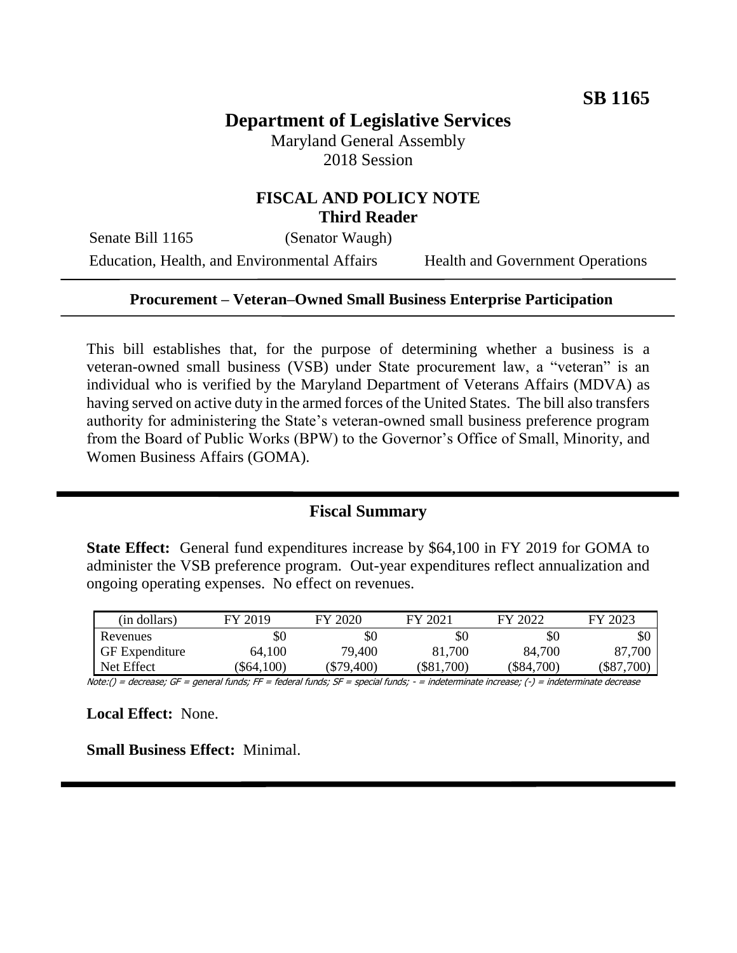# **Department of Legislative Services**

Maryland General Assembly 2018 Session

### **FISCAL AND POLICY NOTE Third Reader**

Senate Bill 1165 (Senator Waugh)

Education, Health, and Environmental Affairs Health and Government Operations

#### **Procurement – Veteran–Owned Small Business Enterprise Participation**

This bill establishes that, for the purpose of determining whether a business is a veteran-owned small business (VSB) under State procurement law, a "veteran" is an individual who is verified by the Maryland Department of Veterans Affairs (MDVA) as having served on active duty in the armed forces of the United States. The bill also transfers authority for administering the State's veteran-owned small business preference program from the Board of Public Works (BPW) to the Governor's Office of Small, Minority, and Women Business Affairs (GOMA).

#### **Fiscal Summary**

**State Effect:** General fund expenditures increase by \$64,100 in FY 2019 for GOMA to administer the VSB preference program. Out-year expenditures reflect annualization and ongoing operating expenses. No effect on revenues.

| (in dollars)          | FY 2019   | FY 2020  | FY 2021  | FY 2022  | FY 2023     |
|-----------------------|-----------|----------|----------|----------|-------------|
| Revenues              | \$0       | \$0      | \$0      | \$0      | \$0         |
| <b>GF</b> Expenditure | 64,100    | 79,400   | 81,700   | 84,700   | 87,700      |
| Net Effect            | \$64,100) | \$79,400 | \$81,700 | \$84,700 | 700<br>\$87 |

Note:() = decrease; GF = general funds; FF = federal funds; SF = special funds; - = indeterminate increase; (-) = indeterminate decrease

**Local Effect:** None.

**Small Business Effect:** Minimal.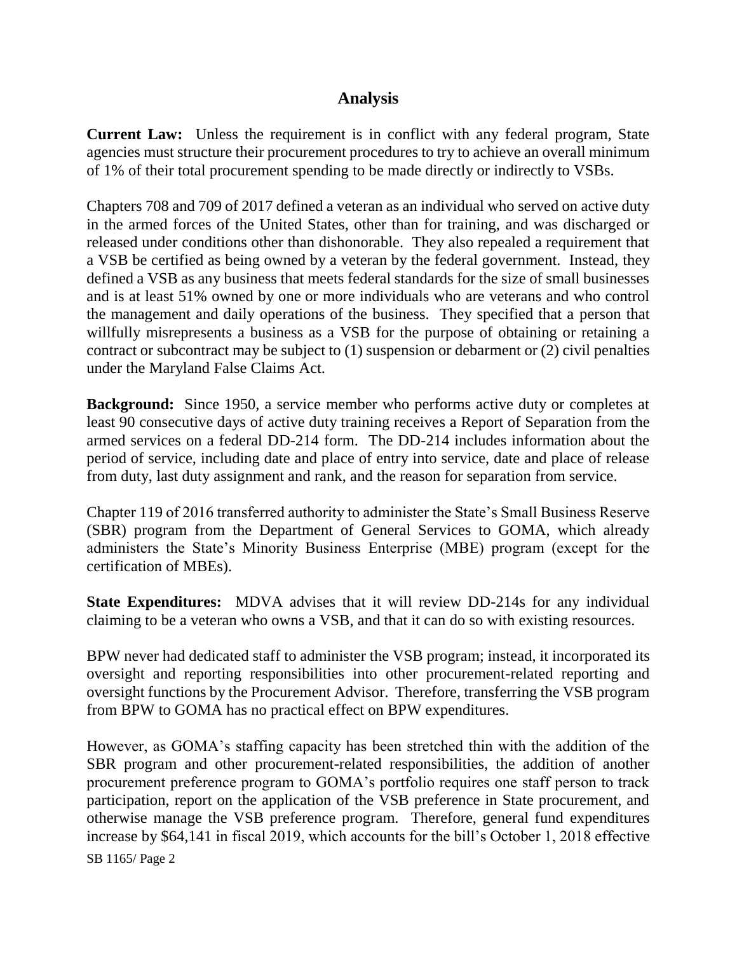## **Analysis**

**Current Law:** Unless the requirement is in conflict with any federal program, State agencies must structure their procurement procedures to try to achieve an overall minimum of 1% of their total procurement spending to be made directly or indirectly to VSBs.

Chapters 708 and 709 of 2017 defined a veteran as an individual who served on active duty in the armed forces of the United States, other than for training, and was discharged or released under conditions other than dishonorable. They also repealed a requirement that a VSB be certified as being owned by a veteran by the federal government. Instead, they defined a VSB as any business that meets federal standards for the size of small businesses and is at least 51% owned by one or more individuals who are veterans and who control the management and daily operations of the business. They specified that a person that willfully misrepresents a business as a VSB for the purpose of obtaining or retaining a contract or subcontract may be subject to (1) suspension or debarment or (2) civil penalties under the Maryland False Claims Act.

**Background:** Since 1950, a service member who performs active duty or completes at least 90 consecutive days of active duty training receives a Report of Separation from the armed services on a federal DD-214 form. The DD-214 includes information about the period of service, including date and place of entry into service, date and place of release from duty, last duty assignment and rank, and the reason for separation from service.

Chapter 119 of 2016 transferred authority to administer the State's Small Business Reserve (SBR) program from the Department of General Services to GOMA, which already administers the State's Minority Business Enterprise (MBE) program (except for the certification of MBEs).

**State Expenditures:** MDVA advises that it will review DD-214s for any individual claiming to be a veteran who owns a VSB, and that it can do so with existing resources.

BPW never had dedicated staff to administer the VSB program; instead, it incorporated its oversight and reporting responsibilities into other procurement-related reporting and oversight functions by the Procurement Advisor. Therefore, transferring the VSB program from BPW to GOMA has no practical effect on BPW expenditures.

However, as GOMA's staffing capacity has been stretched thin with the addition of the SBR program and other procurement-related responsibilities, the addition of another procurement preference program to GOMA's portfolio requires one staff person to track participation, report on the application of the VSB preference in State procurement, and otherwise manage the VSB preference program. Therefore, general fund expenditures increase by \$64,141 in fiscal 2019, which accounts for the bill's October 1, 2018 effective

SB 1165/ Page 2